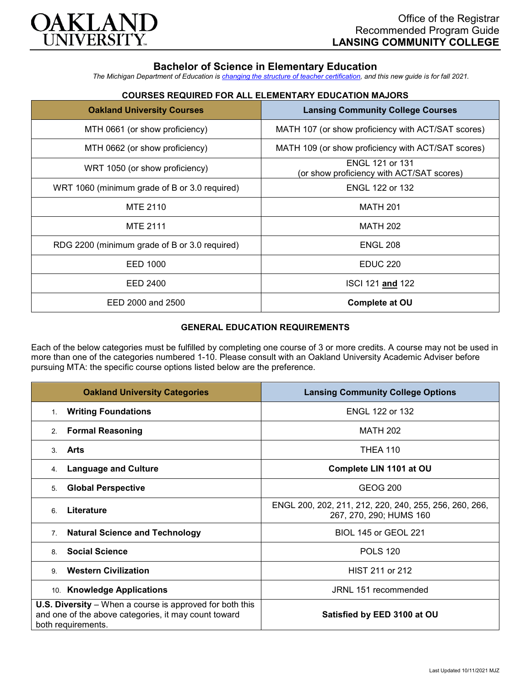

## **Bachelor of Science in Elementary Education**

*The Michigan Department of Education is [changing the structure of teacher certification,](https://docs.google.com/document/d/1W1uUK14Njx6WAB56T4jHbat65OZyg6TS04LdNWMXEcI/edit) and this new guide is for fall 2021.*

| <b>Oakland University Courses</b>             | <b>Lansing Community College Courses</b>                            |
|-----------------------------------------------|---------------------------------------------------------------------|
| MTH 0661 (or show proficiency)                | MATH 107 (or show proficiency with ACT/SAT scores)                  |
| MTH 0662 (or show proficiency)                | MATH 109 (or show proficiency with ACT/SAT scores)                  |
| WRT 1050 (or show proficiency)                | <b>ENGL 121 or 131</b><br>(or show proficiency with ACT/SAT scores) |
| WRT 1060 (minimum grade of B or 3.0 required) | <b>ENGL 122 or 132</b>                                              |
| <b>MTE 2110</b>                               | <b>MATH 201</b>                                                     |
| <b>MTE 2111</b>                               | <b>MATH 202</b>                                                     |
| RDG 2200 (minimum grade of B or 3.0 required) | <b>ENGL 208</b>                                                     |
| EED 1000                                      | <b>EDUC 220</b>                                                     |
| EED 2400                                      | ISCI 121 and 122                                                    |
| EED 2000 and 2500                             | <b>Complete at OU</b>                                               |

# **COURSES REQUIRED FOR ALL ELEMENTARY EDUCATION MAJORS**

#### **GENERAL EDUCATION REQUIREMENTS**

Each of the below categories must be fulfilled by completing one course of 3 or more credits. A course may not be used in more than one of the categories numbered 1-10. Please consult with an Oakland University Academic Adviser before pursuing MTA: the specific course options listed below are the preference.

| <b>Oakland University Categories</b>                                                                                                          | <b>Lansing Community College Options</b>                                          |
|-----------------------------------------------------------------------------------------------------------------------------------------------|-----------------------------------------------------------------------------------|
| <b>Writing Foundations</b><br>1.                                                                                                              | <b>ENGL 122 or 132</b>                                                            |
| <b>Formal Reasoning</b><br>2.                                                                                                                 | <b>MATH 202</b>                                                                   |
| Arts<br>$\mathcal{S}$                                                                                                                         | <b>THEA 110</b>                                                                   |
| <b>Language and Culture</b><br>4.                                                                                                             | Complete LIN 1101 at OU                                                           |
| <b>Global Perspective</b><br>5.                                                                                                               | GEOG 200                                                                          |
| Literature<br>6                                                                                                                               | ENGL 200, 202, 211, 212, 220, 240, 255, 256, 260, 266,<br>267, 270, 290; HUMS 160 |
| <b>Natural Science and Technology</b><br>7 <sub>1</sub>                                                                                       | BIOL 145 or GEOL 221                                                              |
| <b>Social Science</b><br>8                                                                                                                    | <b>POLS 120</b>                                                                   |
| <b>Western Civilization</b><br>9                                                                                                              | HIST 211 or 212                                                                   |
| 10. Knowledge Applications                                                                                                                    | JRNL 151 recommended                                                              |
| <b>U.S. Diversity</b> – When a course is approved for both this<br>and one of the above categories, it may count toward<br>both requirements. | Satisfied by EED 3100 at OU                                                       |